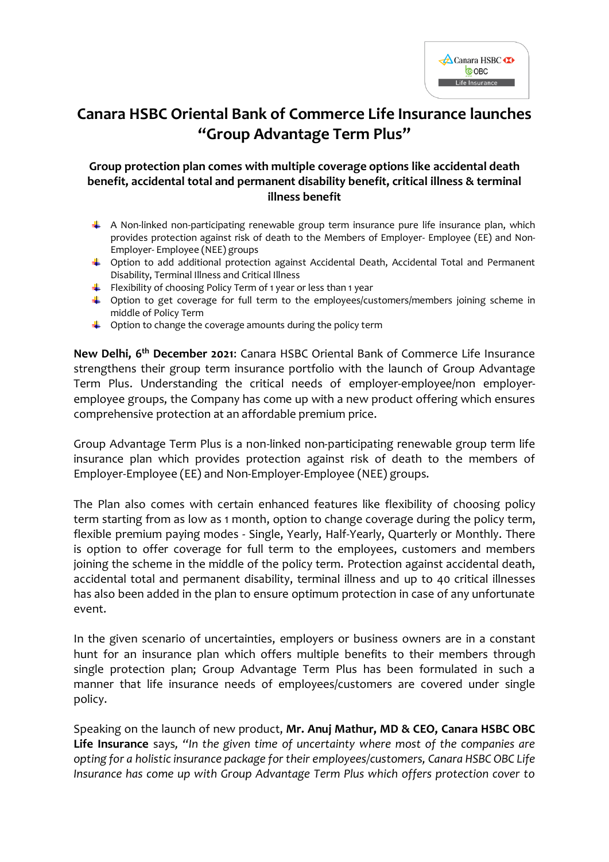

## **Canara HSBC Oriental Bank of Commerce Life Insurance launches "Group Advantage Term Plus"**

## **Group protection plan comes with multiple coverage options like accidental death benefit, accidental total and permanent disability benefit, critical illness & terminal illness benefit**

- $\perp$  A Non-linked non-participating renewable group term insurance pure life insurance plan, which provides protection against risk of death to the Members of Employer- Employee (EE) and Non-Employer- Employee (NEE) groups
- Option to add additional protection against Accidental Death, Accidental Total and Permanent Disability, Terminal Illness and Critical Illness
- Flexibility of choosing Policy Term of 1 year or less than 1 year
- Option to get coverage for full term to the employees/customers/members joining scheme in middle of Policy Term
- $\downarrow$  Option to change the coverage amounts during the policy term

**New Delhi, 6 th December 2021**: Canara HSBC Oriental Bank of Commerce Life Insurance strengthens their group term insurance portfolio with the launch of Group Advantage Term Plus. Understanding the critical needs of employer-employee/non employeremployee groups, the Company has come up with a new product offering which ensures comprehensive protection at an affordable premium price.

Group Advantage Term Plus is a non-linked non-participating renewable group term life insurance plan which provides protection against risk of death to the members of Employer-Employee (EE) and Non-Employer-Employee (NEE) groups.

The Plan also comes with certain enhanced features like flexibility of choosing policy term starting from as low as 1 month, option to change coverage during the policy term, flexible premium paying modes - Single, Yearly, Half-Yearly, Quarterly or Monthly. There is option to offer coverage for full term to the employees, customers and members joining the scheme in the middle of the policy term. Protection against accidental death, accidental total and permanent disability, terminal illness and up to 40 critical illnesses has also been added in the plan to ensure optimum protection in case of any unfortunate event.

In the given scenario of uncertainties, employers or business owners are in a constant hunt for an insurance plan which offers multiple benefits to their members through single protection plan; Group Advantage Term Plus has been formulated in such a manner that life insurance needs of employees/customers are covered under single policy.

Speaking on the launch of new product, **Mr. Anuj Mathur, MD & CEO, Canara HSBC OBC Life Insurance** says*, "In the given time of uncertainty where most of the companies are opting for a holistic insurance package for their employees/customers, Canara HSBC OBC Life Insurance has come up with Group Advantage Term Plus which offers protection cover to*